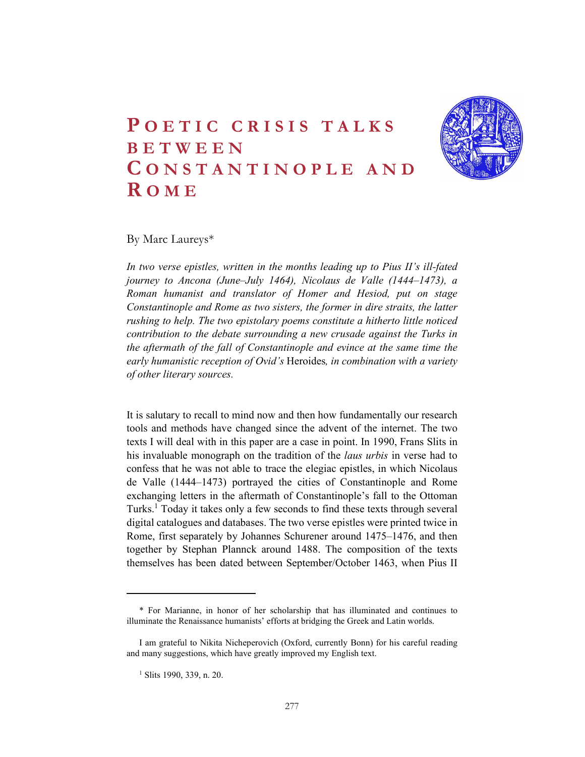# POETIC CRISIS TALKS<br>BETWEEN<br>CONSTANTINOPLE AND<br>ROME POETIC CRISIS TALKS<br>BETWEEN<br>CONSTANTINOPLE AND<br>ROME POETIC CRISIS TALKS<br>BETWEEN<br>CONSTANTINOPLE AND<br>ROME<br>By Marc Laureys\*  $\begin{tabular}{|c|c|} \hline \multicolumn{1}{c}{\textbf{POETIC CRISIS TALKS}}\\ \hline \multicolumn{1}{c}{\textbf{BETWEEN}}\\ \hline \multicolumn{1}{c}{\textbf{CONS TANTINOPLE AND}}\\ \hline \multicolumn{1}{c}{\textbf{ROME}}\\ \hline \multicolumn{1}{c}{\textbf{Bymac} \textbf{Laureys*}}\\ \hline \multicolumn{1}{c}{\textbf{Bymac} \textbf{Laureys*}}\\ \hline \multicolumn{1}{c}{\textbf{Bymac} \textbf{Laureys*}}\\ \hline \multicolumn{1}{c}{\textbf{Bymac}$



By Marc Laureys\*

In two verse epistles, written in the months leading up to Pius II's ill-fated journey to Ancona (June–July 1464), Nicolaus de Valle (1444–1473), a Roman humanist and translator of Homer and Hesiod, put on stage Constantinople and Rome as two sisters, the former in dire straits, the latter rushing to help. The two epistolary poems constitute a hitherto little noticed contribution to the debate surrounding a new crusade against the Turks in the aftermath of the fall of Constantinople and evince at the same time the early humanistic reception of Ovid's Heroides, in combination with a variety of other literary sources.

It is salutary to recall to mind now and then how fundamentally our research tools and methods have changed since the advent of the internet. The two texts I will deal with in this paper are a case in point. In 1990, Frans Slits in his invaluable monograph on the tradition of the *laus urbis* in verse had to confess that he was not able to trace the elegiac epistles, in which Nicolaus de Valle (1444–1473) portrayed the cities of Constantinople and Rome exchanging letters in the aftermath of Constantinople's fall to the Ottoman Turks.1 Today it takes only a few seconds to find these texts through several digital catalogues and databases. The two verse epistles were printed twice in Rome, first separately by Johannes Schurener around 1475–1476, and then together by Stephan Plannck around 1488. The composition of the texts themselves has been dated between September/October 1463, when Pius II

<sup>\*</sup> For Marianne, in honor of her scholarship that has illuminated and continues to illuminate the Renaissance humanists' efforts at bridging the Greek and Latin worlds.

I am grateful to Nikita Nicheperovich (Oxford, currently Bonn) for his careful reading and many suggestions, which have greatly improved my English text. 1

<sup>&</sup>lt;sup>1</sup> Slits 1990, 339, n. 20.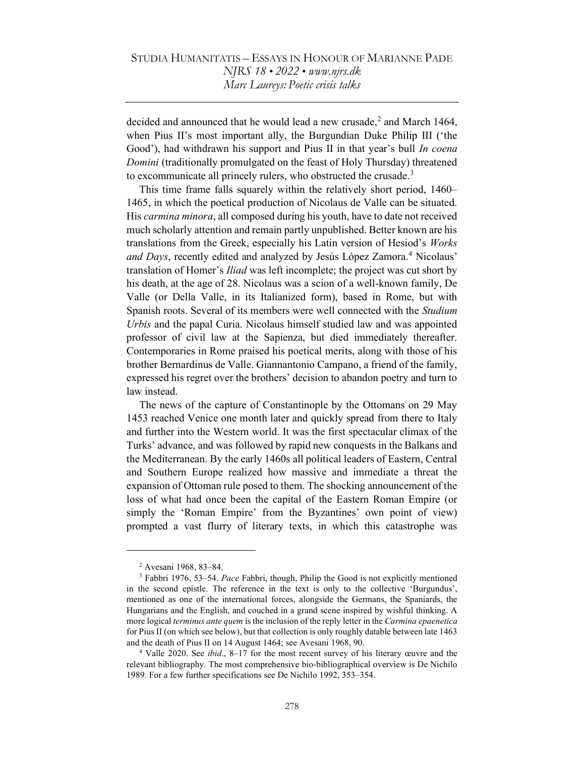decided and announced that he would lead a new crusade,<sup>2</sup> and March 1464, when Pius II's most important ally, the Burgundian Duke Philip III ('the Good'), had withdrawn his support and Pius II in that year's bull *In coena* Domini (traditionally promulgated on the feast of Holy Thursday) threatened to excommunicate all princely rulers, who obstructed the crusade.<sup>3</sup>

This time frame falls squarely within the relatively short period, 1460– 1465, in which the poetical production of Nicolaus de Valle can be situated. His carmina minora, all composed during his youth, have to date not received much scholarly attention and remain partly unpublished. Better known are his translations from the Greek, especially his Latin version of Hesiod's Works and Days, recently edited and analyzed by Jesús López Zamora.<sup>4</sup> Nicolaus' translation of Homer's Iliad was left incomplete; the project was cut short by his death, at the age of 28. Nicolaus was a scion of a well-known family, De Valle (or Della Valle, in its Italianized form), based in Rome, but with Spanish roots. Several of its members were well connected with the Studium Urbis and the papal Curia. Nicolaus himself studied law and was appointed professor of civil law at the Sapienza, but died immediately thereafter. Contemporaries in Rome praised his poetical merits, along with those of his brother Bernardinus de Valle. Giannantonio Campano, a friend of the family, expressed his regret over the brothers' decision to abandon poetry and turn to law instead.

The news of the capture of Constantinople by the Ottomans on 29 May 1453 reached Venice one month later and quickly spread from there to Italy and further into the Western world. It was the first spectacular climax of the Turks' advance, and was followed by rapid new conquests in the Balkans and the Mediterranean. By the early 1460s all political leaders of Eastern, Central and Southern Europe realized how massive and immediate a threat the expansion of Ottoman rule posed to them. The shocking announcement of the loss of what had once been the capital of the Eastern Roman Empire (or simply the 'Roman Empire' from the Byzantines' own point of view) prompted a vast flurry of literary texts, in which this catastrophe was

<sup>2</sup> Avesani 1968, 83–84.

<sup>&</sup>lt;sup>3</sup> Fabbri 1976, 53–54. Pace Fabbri, though, Philip the Good is not explicitly mentioned in the second epistle. The reference in the text is only to the collective 'Burgundus', mentioned as one of the international forces, alongside the Germans, the Spaniards, the Hungarians and the English, and couched in a grand scene inspired by wishful thinking. A more logical *terminus ante quem* is the inclusion of the reply letter in the *Carmina epaenetica* for Pius II (on which see below), but that collection is only roughly datable between late 1463 and the death of Pius II on 14 August 1464; see Avesani 1968, 90.

<sup>&</sup>lt;sup>4</sup> Valle 2020. See *ibid.*, 8–17 for the most recent survey of his literary œuvre and the relevant bibliography. The most comprehensive bio-bibliographical overview is De Nichilo 1989. For a few further specifications see De Nichilo 1992, 353–354.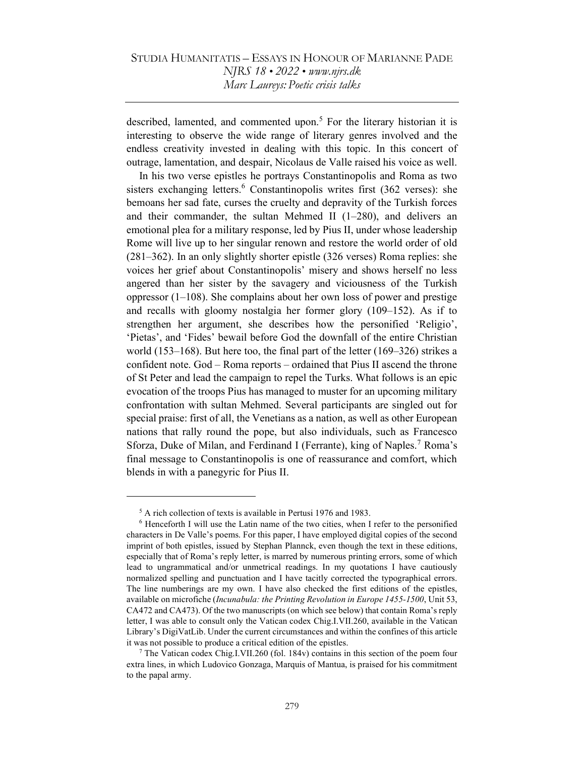described, lamented, and commented upon.<sup>5</sup> For the literary historian it is interesting to observe the wide range of literary genres involved and the endless creativity invested in dealing with this topic. In this concert of outrage, lamentation, and despair, Nicolaus de Valle raised his voice as well.

In his two verse epistles he portrays Constantinopolis and Roma as two sisters exchanging letters.<sup>6</sup> Constantinopolis writes first (362 verses): she bemoans her sad fate, curses the cruelty and depravity of the Turkish forces and their commander, the sultan Mehmed II (1–280), and delivers an emotional plea for a military response, led by Pius II, under whose leadership Rome will live up to her singular renown and restore the world order of old (281–362). In an only slightly shorter epistle (326 verses) Roma replies: she voices her grief about Constantinopolis' misery and shows herself no less angered than her sister by the savagery and viciousness of the Turkish oppressor (1–108). She complains about her own loss of power and prestige and recalls with gloomy nostalgia her former glory (109–152). As if to strengthen her argument, she describes how the personified 'Religio', 'Pietas', and 'Fides' bewail before God the downfall of the entire Christian world (153–168). But here too, the final part of the letter (169–326) strikes a confident note. God – Roma reports – ordained that Pius II ascend the throne of St Peter and lead the campaign to repel the Turks. What follows is an epic evocation of the troops Pius has managed to muster for an upcoming military confrontation with sultan Mehmed. Several participants are singled out for special praise: first of all, the Venetians as a nation, as well as other European nations that rally round the pope, but also individuals, such as Francesco Sforza, Duke of Milan, and Ferdinand I (Ferrante), king of Naples.<sup>7</sup> Roma's final message to Constantinopolis is one of reassurance and comfort, which blends in with a panegyric for Pius II.

<sup>5</sup> A rich collection of texts is available in Pertusi 1976 and 1983.

<sup>&</sup>lt;sup>6</sup> Henceforth I will use the Latin name of the two cities, when I refer to the personified characters in De Valle's poems. For this paper, I have employed digital copies of the second imprint of both epistles, issued by Stephan Plannck, even though the text in these editions, especially that of Roma's reply letter, is marred by numerous printing errors, some of which lead to ungrammatical and/or unmetrical readings. In my quotations I have cautiously normalized spelling and punctuation and I have tacitly corrected the typographical errors. The line numberings are my own. I have also checked the first editions of the epistles, available on microfiche (Incunabula: the Printing Revolution in Europe 1455-1500, Unit 53, CA472 and CA473). Of the two manuscripts (on which see below) that contain Roma's reply letter, I was able to consult only the Vatican codex Chig.I.VII.260, available in the Vatican Library's DigiVatLib. Under the current circumstances and within the confines of this article it was not possible to produce a critical edition of the epistles.

<sup>7</sup> The Vatican codex Chig.I.VII.260 (fol. 184v) contains in this section of the poem four extra lines, in which Ludovico Gonzaga, Marquis of Mantua, is praised for his commitment to the papal army.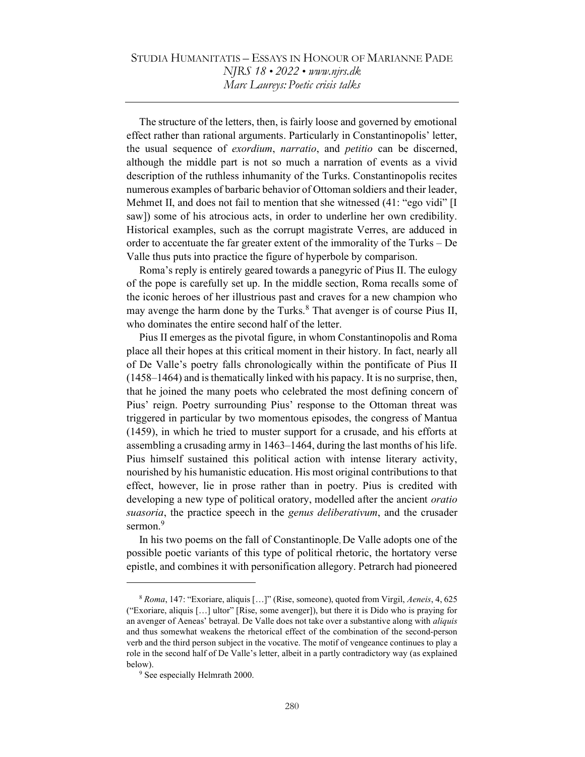The structure of the letters, then, is fairly loose and governed by emotional effect rather than rational arguments. Particularly in Constantinopolis' letter, the usual sequence of *exordium, narratio*, and *petitio* can be discerned, although the middle part is not so much a narration of events as a vivid description of the ruthless inhumanity of the Turks. Constantinopolis recites numerous examples of barbaric behavior of Ottoman soldiers and their leader, Mehmet II, and does not fail to mention that she witnessed (41: "ego vidi" [I saw]) some of his atrocious acts, in order to underline her own credibility. Historical examples, such as the corrupt magistrate Verres, are adduced in order to accentuate the far greater extent of the immorality of the Turks – De Valle thus puts into practice the figure of hyperbole by comparison.

Roma's reply is entirely geared towards a panegyric of Pius II. The eulogy of the pope is carefully set up. In the middle section, Roma recalls some of the iconic heroes of her illustrious past and craves for a new champion who may avenge the harm done by the Turks.<sup>8</sup> That avenger is of course Pius II, who dominates the entire second half of the letter.

Pius II emerges as the pivotal figure, in whom Constantinopolis and Roma place all their hopes at this critical moment in their history. In fact, nearly all of De Valle's poetry falls chronologically within the pontificate of Pius II (1458–1464) and is thematically linked with his papacy. It is no surprise, then, that he joined the many poets who celebrated the most defining concern of Pius' reign. Poetry surrounding Pius' response to the Ottoman threat was triggered in particular by two momentous episodes, the congress of Mantua (1459), in which he tried to muster support for a crusade, and his efforts at assembling a crusading army in 1463–1464, during the last months of his life. Pius himself sustained this political action with intense literary activity, nourished by his humanistic education. His most original contributions to that effect, however, lie in prose rather than in poetry. Pius is credited with developing a new type of political oratory, modelled after the ancient *oratio* suasoria, the practice speech in the *genus deliberativum*, and the crusader sermon.<sup>9</sup>

In his two poems on the fall of Constantinople, De Valle adopts one of the possible poetic variants of this type of political rhetoric, the hortatory verse epistle, and combines it with personification allegory. Petrarch had pioneered

<sup>8</sup> Roma, 147: "Exoriare, aliquis […]" (Rise, someone), quoted from Virgil, Aeneis, 4, 625 ("Exoriare, aliquis […] ultor" [Rise, some avenger]), but there it is Dido who is praying for an avenger of Aeneas' betrayal. De Valle does not take over a substantive along with *aliquis* and thus somewhat weakens the rhetorical effect of the combination of the second-person verb and the third person subject in the vocative. The motif of vengeance continues to play a role in the second half of De Valle's letter, albeit in a partly contradictory way (as explained below).

<sup>&</sup>lt;sup>9</sup> See especially Helmrath 2000.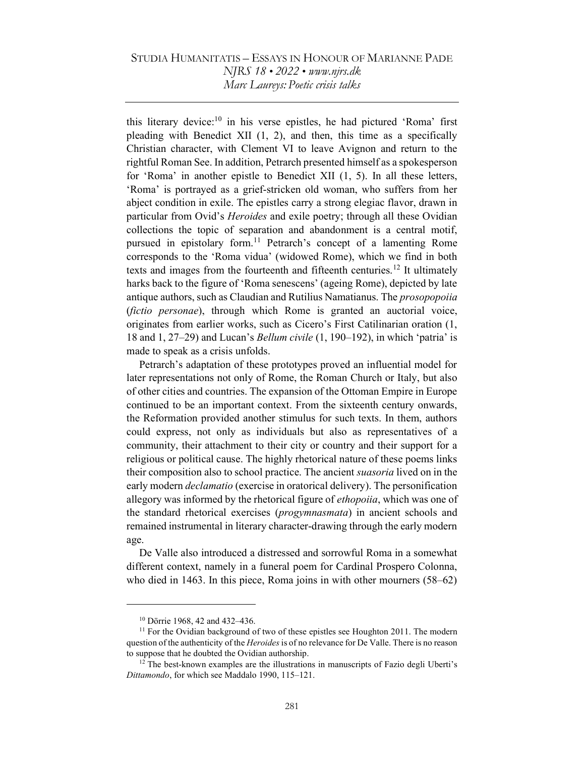this literary device:<sup>10</sup> in his verse epistles, he had pictured 'Roma' first pleading with Benedict XII (1, 2), and then, this time as a specifically Christian character, with Clement VI to leave Avignon and return to the rightful Roman See. In addition, Petrarch presented himself as a spokesperson for 'Roma' in another epistle to Benedict XII (1, 5). In all these letters, 'Roma' is portrayed as a grief-stricken old woman, who suffers from her abject condition in exile. The epistles carry a strong elegiac flavor, drawn in particular from Ovid's *Heroides* and exile poetry; through all these Ovidian collections the topic of separation and abandonment is a central motif, pursued in epistolary form.<sup>11</sup> Petrarch's concept of a lamenting Rome corresponds to the 'Roma vidua' (widowed Rome), which we find in both texts and images from the fourteenth and fifteenth centuries.<sup>12</sup> It ultimately harks back to the figure of 'Roma senescens' (ageing Rome), depicted by late antique authors, such as Claudian and Rutilius Namatianus. The *prosopopoiia* (fictio personae), through which Rome is granted an auctorial voice, originates from earlier works, such as Cicero's First Catilinarian oration (1, 18 and 1, 27–29) and Lucan's Bellum civile (1, 190–192), in which 'patria' is made to speak as a crisis unfolds.

Petrarch's adaptation of these prototypes proved an influential model for later representations not only of Rome, the Roman Church or Italy, but also of other cities and countries. The expansion of the Ottoman Empire in Europe continued to be an important context. From the sixteenth century onwards, the Reformation provided another stimulus for such texts. In them, authors could express, not only as individuals but also as representatives of a community, their attachment to their city or country and their support for a religious or political cause. The highly rhetorical nature of these poems links their composition also to school practice. The ancient suasoria lived on in the early modern *declamatio* (exercise in oratorical delivery). The personification allegory was informed by the rhetorical figure of *ethopoiia*, which was one of the standard rhetorical exercises (progymnasmata) in ancient schools and remained instrumental in literary character-drawing through the early modern age.

De Valle also introduced a distressed and sorrowful Roma in a somewhat different context, namely in a funeral poem for Cardinal Prospero Colonna, who died in 1463. In this piece, Roma joins in with other mourners (58–62)

<sup>10</sup> Dörrie 1968, 42 and 432–436.

<sup>&</sup>lt;sup>11</sup> For the Ovidian background of two of these epistles see Houghton 2011. The modern question of the authenticity of the *Heroides* is of no relevance for De Valle. There is no reason to suppose that he doubted the Ovidian authorship.

 $12$  The best-known examples are the illustrations in manuscripts of Fazio degli Uberti's Dittamondo, for which see Maddalo 1990, 115–121.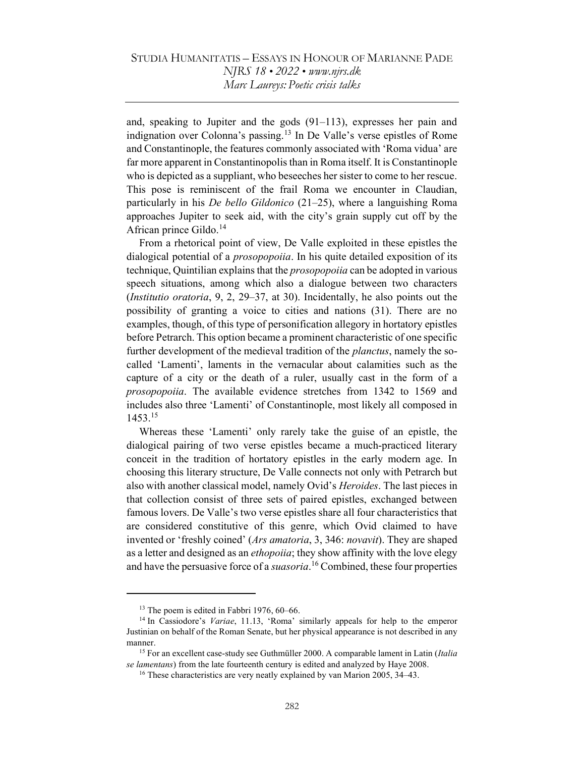and, speaking to Jupiter and the gods (91–113), expresses her pain and indignation over Colonna's passing.<sup>13</sup> In De Valle's verse epistles of Rome and Constantinople, the features commonly associated with 'Roma vidua' are far more apparent in Constantinopolis than in Roma itself. It is Constantinople who is depicted as a suppliant, who beseeches her sister to come to her rescue. This pose is reminiscent of the frail Roma we encounter in Claudian, particularly in his *De bello Gildonico* (21–25), where a languishing Roma approaches Jupiter to seek aid, with the city's grain supply cut off by the African prince Gildo. $^{14}$ 

From a rhetorical point of view, De Valle exploited in these epistles the dialogical potential of a *prosopopoiia*. In his quite detailed exposition of its technique, Quintilian explains that the *prosopopoiia* can be adopted in various speech situations, among which also a dialogue between two characters (Institutio oratoria, 9, 2, 29–37, at 30). Incidentally, he also points out the possibility of granting a voice to cities and nations (31). There are no examples, though, of this type of personification allegory in hortatory epistles before Petrarch. This option became a prominent characteristic of one specific further development of the medieval tradition of the *planctus*, namely the socalled 'Lamenti', laments in the vernacular about calamities such as the capture of a city or the death of a ruler, usually cast in the form of a prosopopoiia. The available evidence stretches from 1342 to 1569 and includes also three 'Lamenti' of Constantinople, most likely all composed in 1453.<sup>15</sup>

Whereas these 'Lamenti' only rarely take the guise of an epistle, the dialogical pairing of two verse epistles became a much-practiced literary conceit in the tradition of hortatory epistles in the early modern age. In choosing this literary structure, De Valle connects not only with Petrarch but also with another classical model, namely Ovid's *Heroides*. The last pieces in that collection consist of three sets of paired epistles, exchanged between famous lovers. De Valle's two verse epistles share all four characteristics that are considered constitutive of this genre, which Ovid claimed to have invented or 'freshly coined' (Ars amatoria, 3, 346: novavit). They are shaped as a letter and designed as an *ethopoiia*; they show affinity with the love elegy and have the persuasive force of a *suasoria*.<sup>16</sup> Combined, these four properties

<sup>&</sup>lt;sup>13</sup> The poem is edited in Fabbri 1976, 60–66.

<sup>&</sup>lt;sup>14</sup> In Cassiodore's *Variae*, 11.13, 'Roma' similarly appeals for help to the emperor Justinian on behalf of the Roman Senate, but her physical appearance is not described in any manner.

<sup>&</sup>lt;sup>15</sup> For an excellent case-study see Guthmüller 2000. A comparable lament in Latin (*Italia*) se lamentans) from the late fourteenth century is edited and analyzed by Haye 2008.

<sup>&</sup>lt;sup>16</sup> These characteristics are very neatly explained by van Marion 2005, 34–43.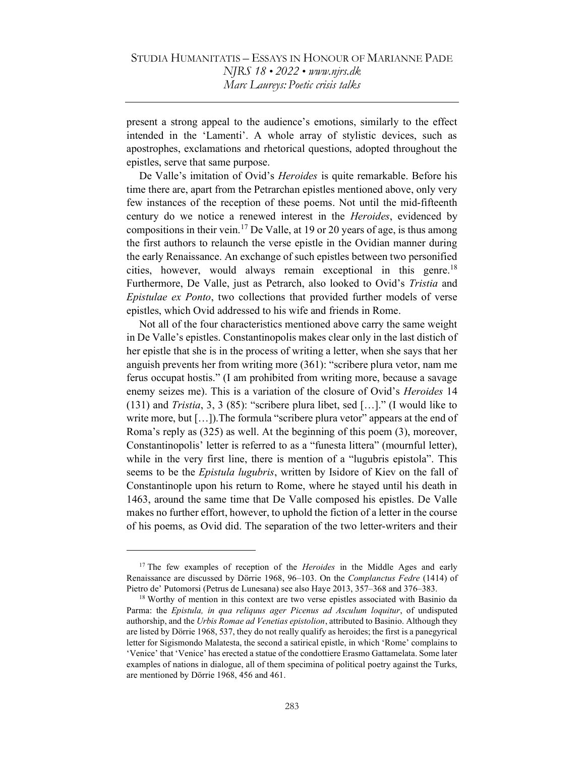present a strong appeal to the audience's emotions, similarly to the effect intended in the 'Lamenti'. A whole array of stylistic devices, such as apostrophes, exclamations and rhetorical questions, adopted throughout the epistles, serve that same purpose.

De Valle's imitation of Ovid's *Heroides* is quite remarkable. Before his time there are, apart from the Petrarchan epistles mentioned above, only very few instances of the reception of these poems. Not until the mid-fifteenth century do we notice a renewed interest in the *Heroides*, evidenced by compositions in their vein.<sup>17</sup> De Valle, at 19 or 20 years of age, is thus among the first authors to relaunch the verse epistle in the Ovidian manner during the early Renaissance. An exchange of such epistles between two personified cities, however, would always remain exceptional in this genre.<sup>18</sup> Furthermore, De Valle, just as Petrarch, also looked to Ovid's Tristia and Epistulae ex Ponto, two collections that provided further models of verse epistles, which Ovid addressed to his wife and friends in Rome.

Not all of the four characteristics mentioned above carry the same weight in De Valle's epistles. Constantinopolis makes clear only in the last distich of her epistle that she is in the process of writing a letter, when she says that her anguish prevents her from writing more (361): "scribere plura vetor, nam me ferus occupat hostis." (I am prohibited from writing more, because a savage enemy seizes me). This is a variation of the closure of Ovid's *Heroides* 14 (131) and Tristia, 3, 3 (85): "scribere plura libet, sed […]." (I would like to write more, but [...]). The formula "scribere plura vetor" appears at the end of Roma's reply as (325) as well. At the beginning of this poem (3), moreover, Constantinopolis' letter is referred to as a "funesta littera" (mournful letter), while in the very first line, there is mention of a "lugubris epistola". This seems to be the *Epistula lugubris*, written by Isidore of Kiev on the fall of Constantinople upon his return to Rome, where he stayed until his death in 1463, around the same time that De Valle composed his epistles. De Valle makes no further effort, however, to uphold the fiction of a letter in the course of his poems, as Ovid did. The separation of the two letter-writers and their

 $17$  The few examples of reception of the *Heroides* in the Middle Ages and early Renaissance are discussed by Dörrie 1968, 96–103. On the *Complanctus Fedre* (1414) of Pietro de' Putomorsi (Petrus de Lunesana) see also Haye 2013, 357–368 and 376–383.

<sup>&</sup>lt;sup>18</sup> Worthy of mention in this context are two verse epistles associated with Basinio da Parma: the Epistula, in qua reliquus ager Picenus ad Asculum loquitur, of undisputed authorship, and the Urbis Romae ad Venetias epistolion, attributed to Basinio. Although they are listed by Dörrie 1968, 537, they do not really qualify as heroides; the first is a panegyrical letter for Sigismondo Malatesta, the second a satirical epistle, in which 'Rome' complains to 'Venice' that 'Venice' has erected a statue of the condottiere Erasmo Gattamelata. Some later examples of nations in dialogue, all of them specimina of political poetry against the Turks, are mentioned by Dörrie 1968, 456 and 461.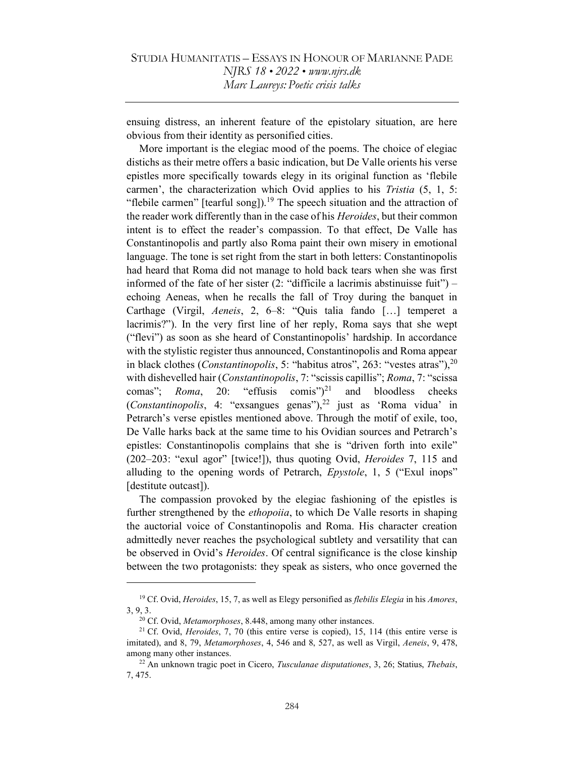ensuing distress, an inherent feature of the epistolary situation, are here obvious from their identity as personified cities.

More important is the elegiac mood of the poems. The choice of elegiac distichs as their metre offers a basic indication, but De Valle orients his verse epistles more specifically towards elegy in its original function as 'flebile carmen', the characterization which Ovid applies to his *Tristia* (5, 1, 5: "flebile carmen" [tearful song]).<sup>19</sup> The speech situation and the attraction of the reader work differently than in the case of his *Heroides*, but their common intent is to effect the reader's compassion. To that effect, De Valle has Constantinopolis and partly also Roma paint their own misery in emotional language. The tone is set right from the start in both letters: Constantinopolis had heard that Roma did not manage to hold back tears when she was first informed of the fate of her sister  $(2:$  "difficile a lacrimis abstinuisse fuit" $)$  – echoing Aeneas, when he recalls the fall of Troy during the banquet in Carthage (Virgil, Aeneis, 2, 6–8: "Quis talia fando […] temperet a lacrimis?"). In the very first line of her reply, Roma says that she wept ("flevi") as soon as she heard of Constantinopolis' hardship. In accordance with the stylistic register thus announced, Constantinopolis and Roma appear in black clothes (*Constantinopolis*, 5: "habitus atros", 263: "vestes atras"),  $2^{0}$ with dishevelled hair (*Constantinopolis*, 7: "scissis capillis"; *Roma*, 7: "scissa comas"; *Roma*, 20: "effusis comis")<sup>21</sup> and bloodless cheeks (Constantinopolis, 4: "exsangues genas"),<sup>22</sup> just as 'Roma vidua' in Petrarch's verse epistles mentioned above. Through the motif of exile, too, De Valle harks back at the same time to his Ovidian sources and Petrarch's epistles: Constantinopolis complains that she is "driven forth into exile" (202–203: "exul agor" [twice!]), thus quoting Ovid, Heroides 7, 115 and alluding to the opening words of Petrarch, *Epystole*, 1, 5 ("Exul inops" [destitute outcast]).

The compassion provoked by the elegiac fashioning of the epistles is further strengthened by the *ethopoiia*, to which De Valle resorts in shaping the auctorial voice of Constantinopolis and Roma. His character creation admittedly never reaches the psychological subtlety and versatility that can be observed in Ovid's *Heroides*. Of central significance is the close kinship between the two protagonists: they speak as sisters, who once governed the

<sup>&</sup>lt;sup>19</sup> Cf. Ovid, *Heroides*, 15, 7, as well as Elegy personified as *flebilis Elegia* in his *Amores*, 3, 9, 3.

 $20$  Cf. Ovid, *Metamorphoses*, 8.448, among many other instances.

<sup>&</sup>lt;sup>21</sup> Cf. Ovid, *Heroides*, 7, 70 (this entire verse is copied), 15, 114 (this entire verse is imitated), and 8, 79, Metamorphoses, 4, 546 and 8, 527, as well as Virgil, Aeneis, 9, 478, among many other instances.

 $22$  An unknown tragic poet in Cicero, *Tusculanae disputationes*, 3, 26; Statius, *Thebais*, 7, 475.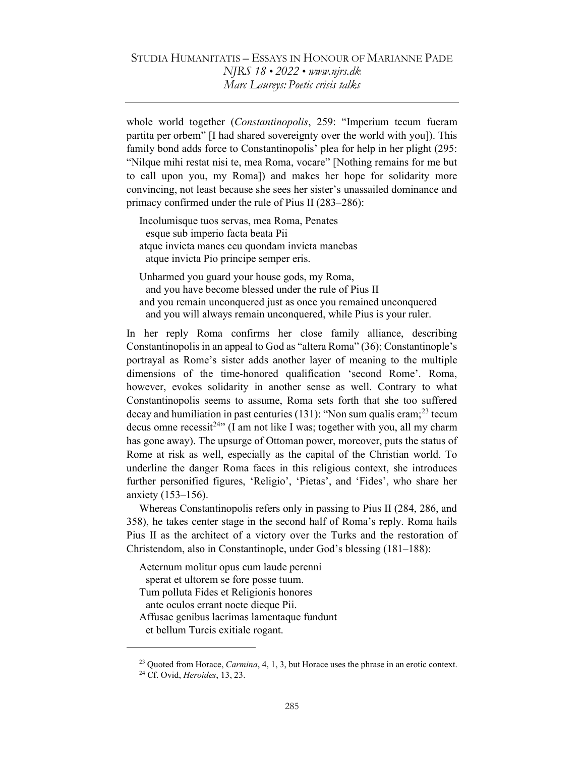whole world together (Constantinopolis, 259: "Imperium tecum fueram partita per orbem" [I had shared sovereignty over the world with you]). This family bond adds force to Constantinopolis' plea for help in her plight (295: "Nilque mihi restat nisi te, mea Roma, vocare" [Nothing remains for me but to call upon you, my Roma]) and makes her hope for solidarity more convincing, not least because she sees her sister's unassailed dominance and primacy confirmed under the rule of Pius II (283–286):

Incolumisque tuos servas, mea Roma, Penates esque sub imperio facta beata Pii atque invicta manes ceu quondam invicta manebas atque invicta Pio principe semper eris.

Unharmed you guard your house gods, my Roma, and you have become blessed under the rule of Pius II and you remain unconquered just as once you remained unconquered and you will always remain unconquered, while Pius is your ruler.

In her reply Roma confirms her close family alliance, describing Constantinopolis in an appeal to God as "altera Roma" (36); Constantinople's portrayal as Rome's sister adds another layer of meaning to the multiple dimensions of the time-honored qualification 'second Rome'. Roma, however, evokes solidarity in another sense as well. Contrary to what Constantinopolis seems to assume, Roma sets forth that she too suffered decay and humiliation in past centuries  $(131)$ : "Non sum qualis eram;<sup>23</sup> tecum decus omne recessit<sup>24</sup><sup>,</sup> (I am not like I was; together with you, all my charm has gone away). The upsurge of Ottoman power, moreover, puts the status of Rome at risk as well, especially as the capital of the Christian world. To underline the danger Roma faces in this religious context, she introduces further personified figures, 'Religio', 'Pietas', and 'Fides', who share her anxiety (153–156).

Whereas Constantinopolis refers only in passing to Pius II (284, 286, and 358), he takes center stage in the second half of Roma's reply. Roma hails Pius II as the architect of a victory over the Turks and the restoration of Christendom, also in Constantinople, under God's blessing (181–188):

Aeternum molitur opus cum laude perenni

sperat et ultorem se fore posse tuum.

Tum polluta Fides et Religionis honores

ante oculos errant nocte dieque Pii.

Affusae genibus lacrimas lamentaque fundunt

et bellum Turcis exitiale rogant.

 $^{23}$  Quoted from Horace, *Carmina*, 4, 1, 3, but Horace uses the phrase in an erotic context.

<sup>24</sup> Cf. Ovid, Heroides, 13, 23.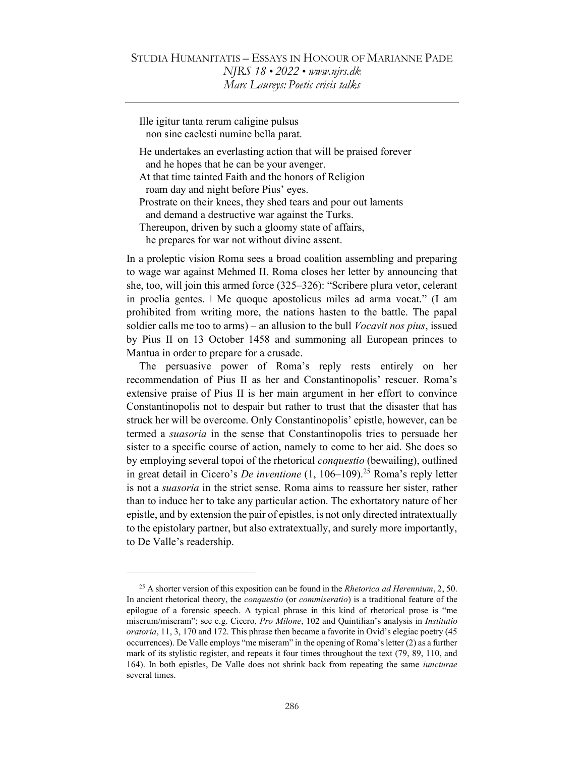Ille igitur tanta rerum caligine pulsus non sine caelesti numine bella parat.

- He undertakes an everlasting action that will be praised forever and he hopes that he can be your avenger.
- At that time tainted Faith and the honors of Religion roam day and night before Pius' eyes.
- Prostrate on their knees, they shed tears and pour out laments and demand a destructive war against the Turks.
- Thereupon, driven by such a gloomy state of affairs,

he prepares for war not without divine assent.

In a proleptic vision Roma sees a broad coalition assembling and preparing to wage war against Mehmed II. Roma closes her letter by announcing that she, too, will join this armed force (325–326): "Scribere plura vetor, celerant in proelia gentes. ǀ Me quoque apostolicus miles ad arma vocat." (I am prohibited from writing more, the nations hasten to the battle. The papal soldier calls me too to arms) – an allusion to the bull *Vocavit nos pius*, issued by Pius II on 13 October 1458 and summoning all European princes to Mantua in order to prepare for a crusade.

The persuasive power of Roma's reply rests entirely on her recommendation of Pius II as her and Constantinopolis' rescuer. Roma's extensive praise of Pius II is her main argument in her effort to convince Constantinopolis not to despair but rather to trust that the disaster that has struck her will be overcome. Only Constantinopolis' epistle, however, can be termed a suasoria in the sense that Constantinopolis tries to persuade her sister to a specific course of action, namely to come to her aid. She does so by employing several topoi of the rhetorical conquestio (bewailing), outlined in great detail in Cicero's *De inventione*  $(1, 106-109)$ <sup>25</sup> Roma's reply letter is not a suasoria in the strict sense. Roma aims to reassure her sister, rather than to induce her to take any particular action. The exhortatory nature of her epistle, and by extension the pair of epistles, is not only directed intratextually to the epistolary partner, but also extratextually, and surely more importantly, to De Valle's readership.

<sup>&</sup>lt;sup>25</sup> A shorter version of this exposition can be found in the *Rhetorica ad Herennium*, 2, 50. In ancient rhetorical theory, the conquestio (or commiseratio) is a traditional feature of the epilogue of a forensic speech. A typical phrase in this kind of rhetorical prose is "me miserum/miseram"; see e.g. Cicero, Pro Milone, 102 and Quintilian's analysis in Institutio oratoria, 11, 3, 170 and 172. This phrase then became a favorite in Ovid's elegiac poetry (45 occurrences). De Valle employs "me miseram" in the opening of Roma's letter (2) as a further mark of its stylistic register, and repeats it four times throughout the text (79, 89, 110, and 164). In both epistles, De Valle does not shrink back from repeating the same iuncturae several times.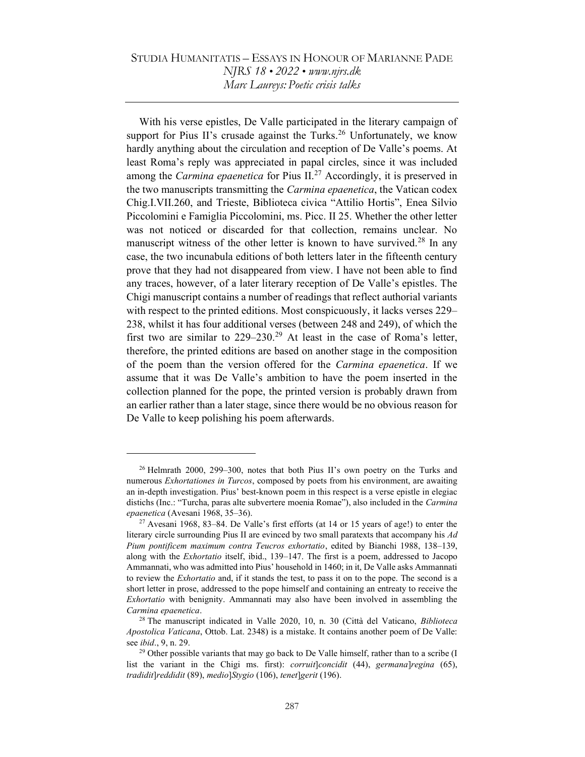With his verse epistles, De Valle participated in the literary campaign of support for Pius II's crusade against the Turks.<sup>26</sup> Unfortunately, we know hardly anything about the circulation and reception of De Valle's poems. At least Roma's reply was appreciated in papal circles, since it was included among the *Carmina epaenetica* for Pius  $II^{27}$  Accordingly, it is preserved in the two manuscripts transmitting the Carmina epaenetica, the Vatican codex Chig.I.VII.260, and Trieste, Biblioteca civica "Attilio Hortis", Enea Silvio Piccolomini e Famiglia Piccolomini, ms. Picc. II 25. Whether the other letter was not noticed or discarded for that collection, remains unclear. No manuscript witness of the other letter is known to have survived.<sup>28</sup> In any case, the two incunabula editions of both letters later in the fifteenth century prove that they had not disappeared from view. I have not been able to find any traces, however, of a later literary reception of De Valle's epistles. The Chigi manuscript contains a number of readings that reflect authorial variants with respect to the printed editions. Most conspicuously, it lacks verses 229– 238, whilst it has four additional verses (between 248 and 249), of which the first two are similar to  $229-230$ .<sup>29</sup> At least in the case of Roma's letter, therefore, the printed editions are based on another stage in the composition of the poem than the version offered for the Carmina epaenetica. If we assume that it was De Valle's ambition to have the poem inserted in the collection planned for the pope, the printed version is probably drawn from an earlier rather than a later stage, since there would be no obvious reason for De Valle to keep polishing his poem afterwards.

<sup>&</sup>lt;sup>26</sup> Helmrath 2000, 299–300, notes that both Pius II's own poetry on the Turks and numerous *Exhortationes in Turcos*, composed by poets from his environment, are awaiting an in-depth investigation. Pius' best-known poem in this respect is a verse epistle in elegiac distichs (Inc.: "Turcha, paras alte subvertere moenia Romae"), also included in the Carmina epaenetica (Avesani 1968, 35–36).

 $27$  Avesani 1968, 83–84. De Valle's first efforts (at 14 or 15 years of age!) to enter the literary circle surrounding Pius II are evinced by two small paratexts that accompany his Ad Pium pontificem maximum contra Teucros exhortatio, edited by Bianchi 1988, 138–139, along with the Exhortatio itself, ibid., 139–147. The first is a poem, addressed to Jacopo Ammannati, who was admitted into Pius' household in 1460; in it, De Valle asks Ammannati to review the Exhortatio and, if it stands the test, to pass it on to the pope. The second is a short letter in prose, addressed to the pope himself and containing an entreaty to receive the Exhortatio with benignity. Ammannati may also have been involved in assembling the Carmina epaenetica.

<sup>&</sup>lt;sup>28</sup> The manuscript indicated in Valle 2020, 10, n. 30 (Città del Vaticano, Biblioteca Apostolica Vaticana, Ottob. Lat. 2348) is a mistake. It contains another poem of De Valle: see ibid., 9, n. 29.

<sup>&</sup>lt;sup>29</sup> Other possible variants that may go back to De Valle himself, rather than to a scribe (I list the variant in the Chigi ms. first): *corruit* concidit  $(44)$ , germana regina  $(65)$ , tradidit]reddidit (89), medio]Stygio (106), tenet]gerit (196).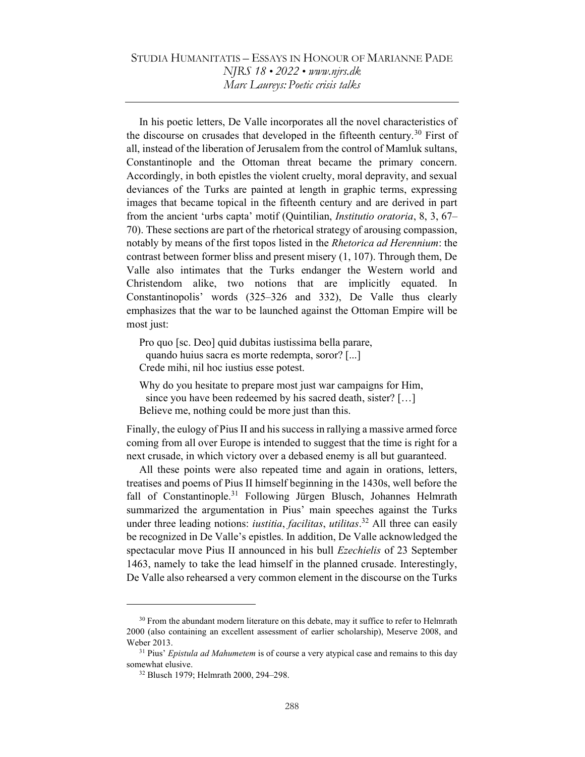In his poetic letters, De Valle incorporates all the novel characteristics of the discourse on crusades that developed in the fifteenth century.<sup>30</sup> First of all, instead of the liberation of Jerusalem from the control of Mamluk sultans, Constantinople and the Ottoman threat became the primary concern. Accordingly, in both epistles the violent cruelty, moral depravity, and sexual deviances of the Turks are painted at length in graphic terms, expressing images that became topical in the fifteenth century and are derived in part from the ancient 'urbs capta' motif (Quintilian, *Institutio oratoria*, 8, 3, 67– 70). These sections are part of the rhetorical strategy of arousing compassion, notably by means of the first topos listed in the *Rhetorica ad Herennium*: the contrast between former bliss and present misery (1, 107). Through them, De Valle also intimates that the Turks endanger the Western world and Christendom alike, two notions that are implicitly equated. In Constantinopolis' words (325–326 and 332), De Valle thus clearly emphasizes that the war to be launched against the Ottoman Empire will be most just:

Pro quo [sc. Deo] quid dubitas iustissima bella parare, quando huius sacra es morte redempta, soror? [...] Crede mihi, nil hoc iustius esse potest.

Why do you hesitate to prepare most just war campaigns for Him, since you have been redeemed by his sacred death, sister? […] Believe me, nothing could be more just than this.

Finally, the eulogy of Pius II and his success in rallying a massive armed force coming from all over Europe is intended to suggest that the time is right for a next crusade, in which victory over a debased enemy is all but guaranteed.

All these points were also repeated time and again in orations, letters, treatises and poems of Pius II himself beginning in the 1430s, well before the fall of Constantinople.<sup>31</sup> Following Jürgen Blusch, Johannes Helmrath summarized the argumentation in Pius' main speeches against the Turks under three leading notions: *iustitia, facilitas, utilitas*.<sup>32</sup> All three can easily be recognized in De Valle's epistles. In addition, De Valle acknowledged the spectacular move Pius II announced in his bull Ezechielis of 23 September 1463, namely to take the lead himself in the planned crusade. Interestingly, De Valle also rehearsed a very common element in the discourse on the Turks

 $30$  From the abundant modern literature on this debate, may it suffice to refer to Helmrath 2000 (also containing an excellent assessment of earlier scholarship), Meserve 2008, and Weber 2013.

 $31$  Pius' Epistula ad Mahumetem is of course a very atypical case and remains to this day somewhat elusive.

<sup>32</sup> Blusch 1979; Helmrath 2000, 294–298.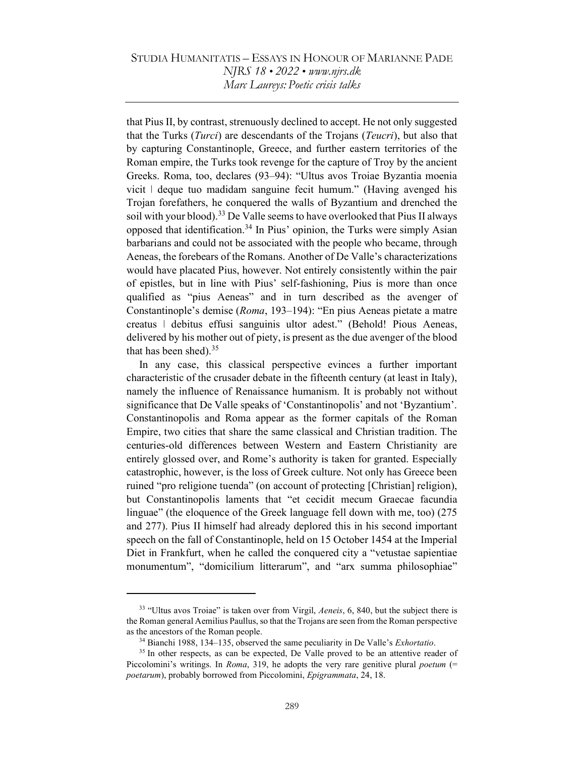that Pius II, by contrast, strenuously declined to accept. He not only suggested that the Turks (Turci) are descendants of the Trojans (Teucri), but also that by capturing Constantinople, Greece, and further eastern territories of the Roman empire, the Turks took revenge for the capture of Troy by the ancient Greeks. Roma, too, declares (93–94): "Ultus avos Troiae Byzantia moenia vicit  $\vert$  deque tuo madidam sanguine fecit humum." (Having avenged his Trojan forefathers, he conquered the walls of Byzantium and drenched the soil with your blood).<sup>33</sup> De Valle seems to have overlooked that Pius II always opposed that identification.<sup>34</sup> In Pius' opinion, the Turks were simply Asian barbarians and could not be associated with the people who became, through Aeneas, the forebears of the Romans. Another of De Valle's characterizations would have placated Pius, however. Not entirely consistently within the pair of epistles, but in line with Pius' self-fashioning, Pius is more than once qualified as "pius Aeneas" and in turn described as the avenger of Constantinople's demise (Roma, 193–194): "En pius Aeneas pietate a matre creatus ǀ debitus effusi sanguinis ultor adest." (Behold! Pious Aeneas, delivered by his mother out of piety, is present as the due avenger of the blood that has been shed). $35$ 

In any case, this classical perspective evinces a further important characteristic of the crusader debate in the fifteenth century (at least in Italy), namely the influence of Renaissance humanism. It is probably not without significance that De Valle speaks of 'Constantinopolis' and not 'Byzantium'. Constantinopolis and Roma appear as the former capitals of the Roman Empire, two cities that share the same classical and Christian tradition. The centuries-old differences between Western and Eastern Christianity are entirely glossed over, and Rome's authority is taken for granted. Especially catastrophic, however, is the loss of Greek culture. Not only has Greece been ruined "pro religione tuenda" (on account of protecting [Christian] religion), but Constantinopolis laments that "et cecidit mecum Graecae facundia linguae" (the eloquence of the Greek language fell down with me, too) (275 and 277). Pius II himself had already deplored this in his second important speech on the fall of Constantinople, held on 15 October 1454 at the Imperial Diet in Frankfurt, when he called the conquered city a "vetustae sapientiae monumentum", "domicilium litterarum", and "arx summa philosophiae"

<sup>&</sup>lt;sup>33</sup> "Ultus avos Troiae" is taken over from Virgil, Aeneis, 6, 840, but the subject there is the Roman general Aemilius Paullus, so that the Trojans are seen from the Roman perspective as the ancestors of the Roman people.

<sup>&</sup>lt;sup>34</sup> Bianchi 1988, 134–135, observed the same peculiarity in De Valle's *Exhortatio*.

<sup>&</sup>lt;sup>35</sup> In other respects, as can be expected, De Valle proved to be an attentive reader of Piccolomini's writings. In *Roma*, 319, he adopts the very rare genitive plural *poetum* (= poetarum), probably borrowed from Piccolomini, Epigrammata, 24, 18.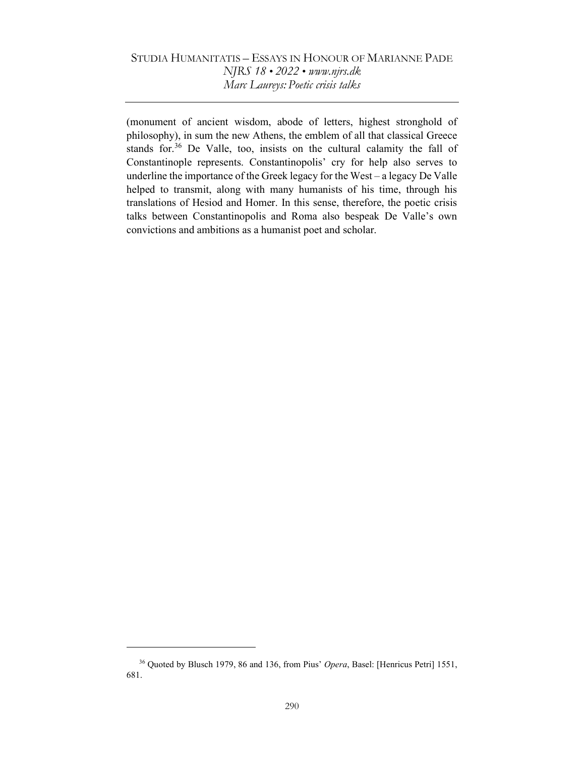(monument of ancient wisdom, abode of letters, highest stronghold of philosophy), in sum the new Athens, the emblem of all that classical Greece stands for.<sup>36</sup> De Valle, too, insists on the cultural calamity the fall of Constantinople represents. Constantinopolis' cry for help also serves to underline the importance of the Greek legacy for the West – a legacy De Valle helped to transmit, along with many humanists of his time, through his translations of Hesiod and Homer. In this sense, therefore, the poetic crisis talks between Constantinopolis and Roma also bespeak De Valle's own convictions and ambitions as a humanist poet and scholar.

<sup>&</sup>lt;sup>36</sup> Quoted by Blusch 1979, 86 and 136, from Pius' Opera, Basel: [Henricus Petri] 1551, 681.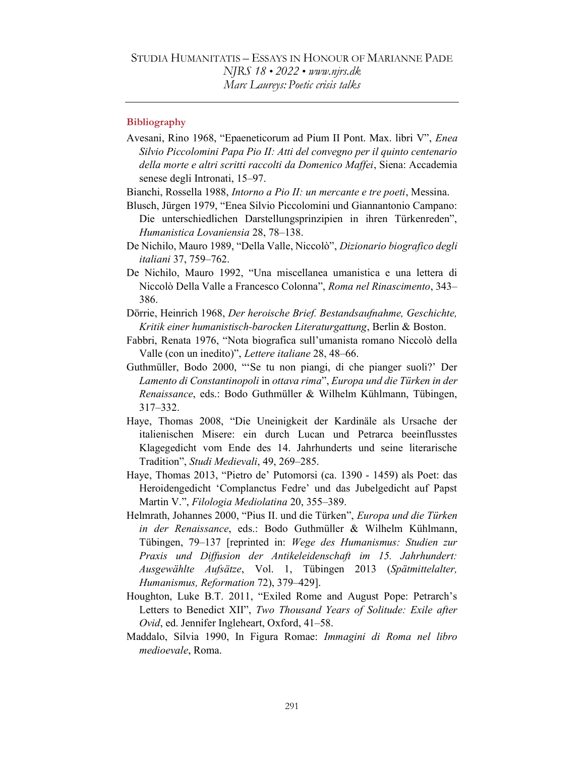### **Bibliography**

- Avesani, Rino 1968, "Epaeneticorum ad Pium II Pont. Max. libri V", Enea Silvio Piccolomini Papa Pio II: Atti del convegno per il quinto centenario della morte e altri scritti raccolti da Domenico Maffei, Siena: Accademia senese degli Intronati, 15–97.
- Bianchi, Rossella 1988, *Intorno a Pio II: un mercante e tre poeti*, Messina.
- Blusch, Jürgen 1979, "Enea Silvio Piccolomini und Giannantonio Campano: Die unterschiedlichen Darstellungsprinzipien in ihren Türkenreden", Humanistica Lovaniensia 28, 78–138.
- De Nichilo, Mauro 1989, "Della Valle, Niccolò", Dizionario biografico degli italiani 37, 759–762.
- De Nichilo, Mauro 1992, "Una miscellanea umanistica e una lettera di Niccolò Della Valle a Francesco Colonna", Roma nel Rinascimento, 343– 386.
- Dörrie, Heinrich 1968, Der heroische Brief. Bestandsaufnahme, Geschichte, Kritik einer humanistisch-barocken Literaturgattung, Berlin & Boston.
- Fabbri, Renata 1976, "Nota biografica sull'umanista romano Niccolò della Valle (con un inedito)", Lettere italiane 28, 48–66.
- Guthmüller, Bodo 2000, "'Se tu non piangi, di che pianger suoli?' Der Lamento di Constantinopoli in ottava rima", Europa und die Türken in der Renaissance, eds.: Bodo Guthmüller & Wilhelm Kühlmann, Tübingen, 317–332.
- Haye, Thomas 2008, "Die Uneinigkeit der Kardinäle als Ursache der italienischen Misere: ein durch Lucan und Petrarca beeinflusstes Klagegedicht vom Ende des 14. Jahrhunderts und seine literarische Tradition", Studi Medievali, 49, 269–285.
- Haye, Thomas 2013, "Pietro de' Putomorsi (ca. 1390 1459) als Poet: das Heroidengedicht 'Complanctus Fedre' und das Jubelgedicht auf Papst Martin V.", Filologia Mediolatina 20, 355–389.
- Helmrath, Johannes 2000, "Pius II. und die Türken", Europa und die Türken in der Renaissance, eds.: Bodo Guthmüller & Wilhelm Kühlmann, Tübingen, 79–137 [reprinted in: Wege des Humanismus: Studien zur Praxis und Diffusion der Antikeleidenschaft im 15. Jahrhundert: Ausgewählte Aufsätze, Vol. 1, Tübingen 2013 (Spätmittelalter, Humanismus, Reformation 72), 379–429].
- Houghton, Luke B.T. 2011, "Exiled Rome and August Pope: Petrarch's Letters to Benedict XII", Two Thousand Years of Solitude: Exile after Ovid, ed. Jennifer Ingleheart, Oxford, 41–58.
- Maddalo, Silvia 1990, In Figura Romae: Immagini di Roma nel libro medioevale, Roma.